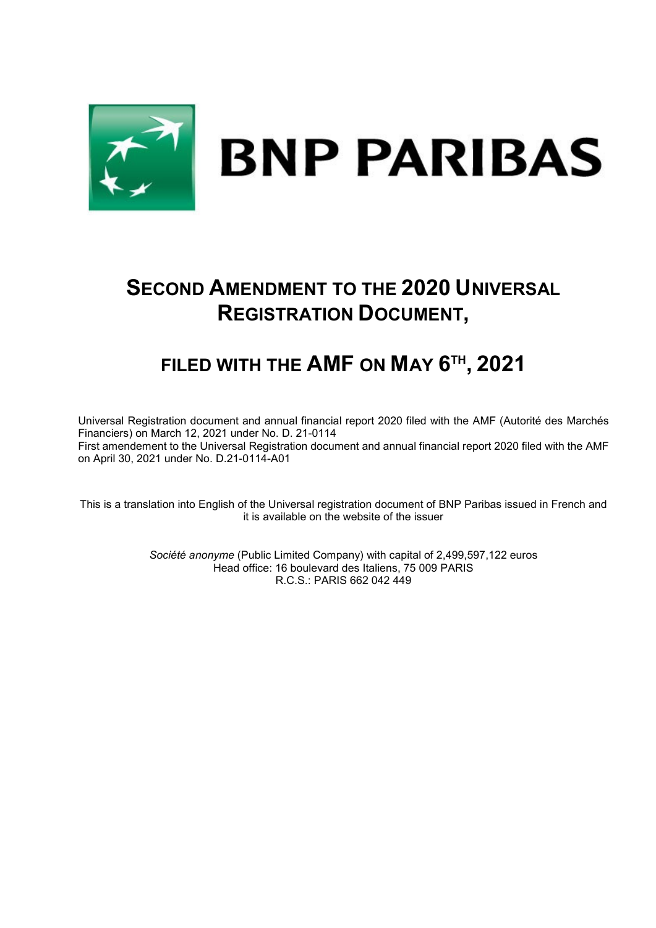

# **SECOND AMENDMENT TO THE 2020 UNIVERSAL REGISTRATION DOCUMENT,**

# **FILED WITH THE AMF ON MAY 6TH , 2021**

Universal Registration document and annual financial report 2020 filed with the AMF (Autorité des Marchés Financiers) on March 12, 2021 under No. D. 21-0114 First amendement to the Universal Registration document and annual financial report 2020 filed with the AMF on April 30, 2021 under No. D.21-0114-A01

This is a translation into English of the Universal registration document of BNP Paribas issued in French and it is available on the website of the issuer

> *Société anonyme* (Public Limited Company) with capital of 2,499,597,122 euros Head office: 16 boulevard des Italiens, 75 009 PARIS R.C.S.: PARIS 662 042 449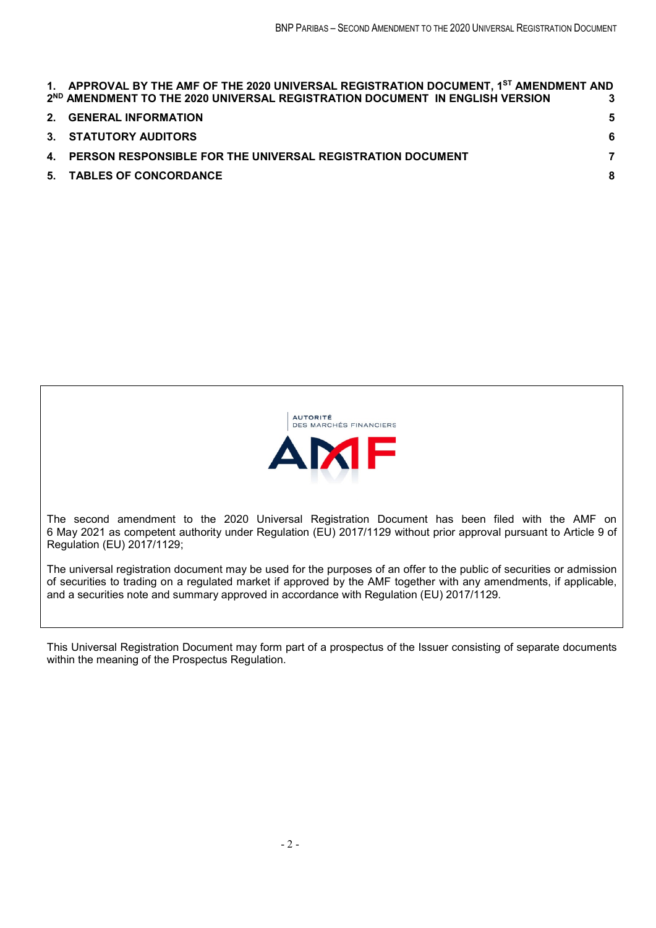| 1. APPROVAL BY THE AMF OF THE 2020 UNIVERSAL REGISTRATION DOCUMENT, 1 <sup>ST</sup> AMENDMENT AND<br>2 <sup>ND</sup> AMENDMENT TO THE 2020 UNIVERSAL REGISTRATION DOCUMENT IN ENGLISH VERSION | 3  |
|-----------------------------------------------------------------------------------------------------------------------------------------------------------------------------------------------|----|
| 2. GENERAL INFORMATION                                                                                                                                                                        | 5. |
| 3. STATUTORY AUDITORS                                                                                                                                                                         | 6  |
| 4. PERSON RESPONSIBLE FOR THE UNIVERSAL REGISTRATION DOCUMENT                                                                                                                                 | 7  |
| 5. TABLES OF CONCORDANCE                                                                                                                                                                      | 8  |
|                                                                                                                                                                                               |    |



The second amendment to the 2020 Universal Registration Document has been filed with the AMF on 6 May 2021 as competent authority under Regulation (EU) 2017/1129 without prior approval pursuant to Article 9 of Regulation (EU) 2017/1129;

The universal registration document may be used for the purposes of an offer to the public of securities or admission of securities to trading on a regulated market if approved by the AMF together with any amendments, if applicable, and a securities note and summary approved in accordance with Regulation (EU) 2017/1129.

This Universal Registration Document may form part of a prospectus of the Issuer consisting of separate documents within the meaning of the Prospectus Regulation.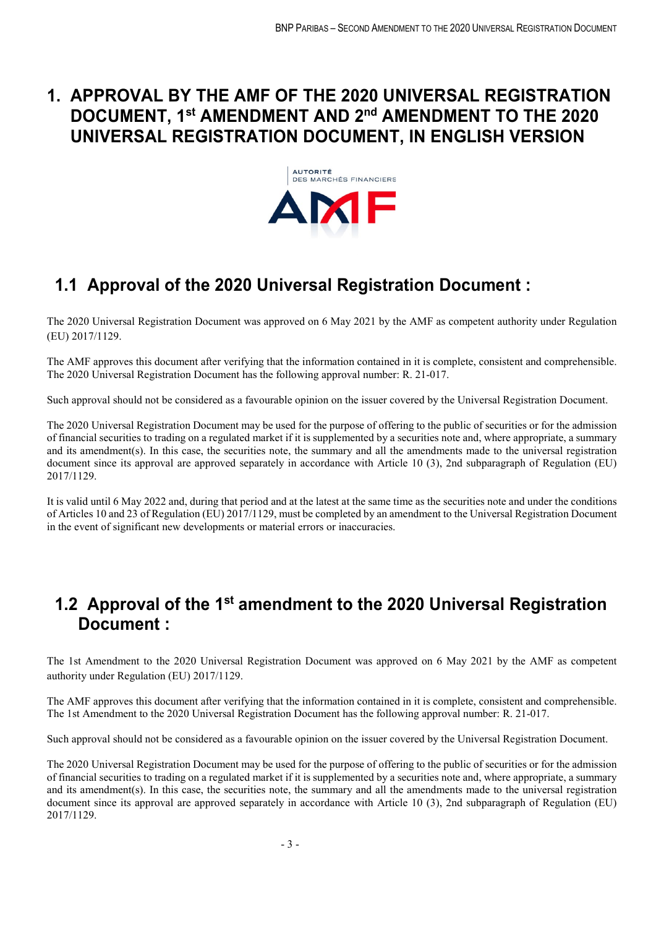# **1. APPROVAL BY THE AMF OF THE 2020 UNIVERSAL REGISTRATION DOCUMENT, 1st AMENDMENT AND 2nd AMENDMENT TO THE 2020 UNIVERSAL REGISTRATION DOCUMENT, IN ENGLISH VERSION**



# **1.1 Approval of the 2020 Universal Registration Document :**

The 2020 Universal Registration Document was approved on 6 May 2021 by the AMF as competent authority under Regulation (EU) 2017/1129.

The AMF approves this document after verifying that the information contained in it is complete, consistent and comprehensible. The 2020 Universal Registration Document has the following approval number: R. 21-017.

Such approval should not be considered as a favourable opinion on the issuer covered by the Universal Registration Document.

The 2020 Universal Registration Document may be used for the purpose of offering to the public of securities or for the admission of financial securities to trading on a regulated market if it is supplemented by a securities note and, where appropriate, a summary and its amendment(s). In this case, the securities note, the summary and all the amendments made to the universal registration document since its approval are approved separately in accordance with Article 10 (3), 2nd subparagraph of Regulation (EU) 2017/1129.

It is valid until 6 May 2022 and, during that period and at the latest at the same time as the securities note and under the conditions of Articles 10 and 23 of Regulation (EU) 2017/1129, must be completed by an amendment to the Universal Registration Document in the event of significant new developments or material errors or inaccuracies.

# **1.2 Approval of the 1st amendment to the 2020 Universal Registration Document :**

The 1st Amendment to the 2020 Universal Registration Document was approved on 6 May 2021 by the AMF as competent authority under Regulation (EU) 2017/1129.

The AMF approves this document after verifying that the information contained in it is complete, consistent and comprehensible. The 1st Amendment to the 2020 Universal Registration Document has the following approval number: R. 21-017.

Such approval should not be considered as a favourable opinion on the issuer covered by the Universal Registration Document.

The 2020 Universal Registration Document may be used for the purpose of offering to the public of securities or for the admission of financial securities to trading on a regulated market if it is supplemented by a securities note and, where appropriate, a summary and its amendment(s). In this case, the securities note, the summary and all the amendments made to the universal registration document since its approval are approved separately in accordance with Article 10 (3), 2nd subparagraph of Regulation (EU) 2017/1129.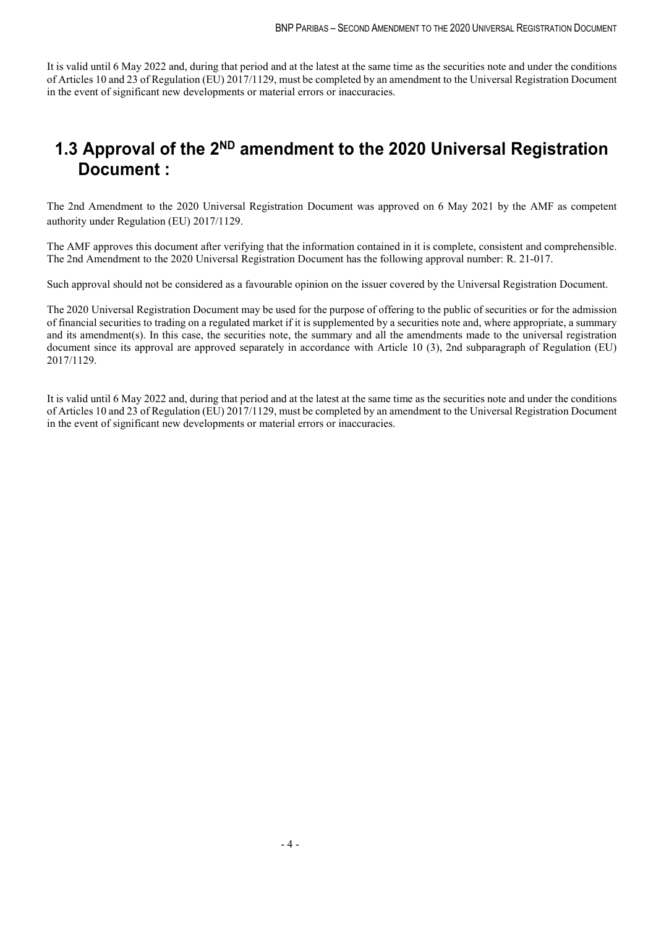It is valid until 6 May 2022 and, during that period and at the latest at the same time as the securities note and under the conditions of Articles 10 and 23 of Regulation (EU) 2017/1129, must be completed by an amendment to the Universal Registration Document in the event of significant new developments or material errors or inaccuracies.

# **1.3 Approval of the 2ND amendment to the 2020 Universal Registration Document :**

The 2nd Amendment to the 2020 Universal Registration Document was approved on 6 May 2021 by the AMF as competent authority under Regulation (EU) 2017/1129.

The AMF approves this document after verifying that the information contained in it is complete, consistent and comprehensible. The 2nd Amendment to the 2020 Universal Registration Document has the following approval number: R. 21-017.

Such approval should not be considered as a favourable opinion on the issuer covered by the Universal Registration Document.

The 2020 Universal Registration Document may be used for the purpose of offering to the public of securities or for the admission of financial securities to trading on a regulated market if it is supplemented by a securities note and, where appropriate, a summary and its amendment(s). In this case, the securities note, the summary and all the amendments made to the universal registration document since its approval are approved separately in accordance with Article 10 (3), 2nd subparagraph of Regulation (EU) 2017/1129.

It is valid until 6 May 2022 and, during that period and at the latest at the same time as the securities note and under the conditions of Articles 10 and 23 of Regulation (EU) 2017/1129, must be completed by an amendment to the Universal Registration Document in the event of significant new developments or material errors or inaccuracies.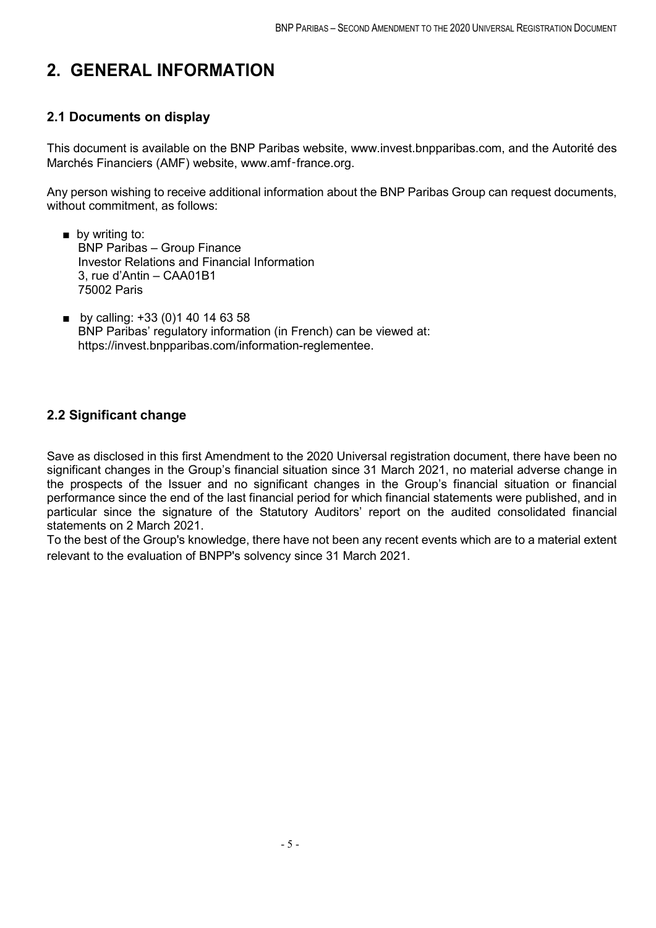# **2. GENERAL INFORMATION**

## **2.1 Documents on display**

This document is available on the BNP Paribas website, www.invest.bnpparibas.com, and the Autorité des Marchés Financiers (AMF) website, www.amf-france.org.

Any person wishing to receive additional information about the BNP Paribas Group can request documents, without commitment, as follows:

- by writing to: BNP Paribas – Group Finance Investor Relations and Financial Information 3, rue d'Antin – CAA01B1 75002 Paris
- by calling: +33 (0)1 40 14 63 58 BNP Paribas' regulatory information (in French) can be viewed at: https://invest.bnpparibas.com/information-reglementee.

## **2.2 Significant change**

Save as disclosed in this first Amendment to the 2020 Universal registration document, there have been no significant changes in the Group's financial situation since 31 March 2021, no material adverse change in the prospects of the Issuer and no significant changes in the Group's financial situation or financial performance since the end of the last financial period for which financial statements were published, and in particular since the signature of the Statutory Auditors' report on the audited consolidated financial statements on 2 March 2021.

To the best of the Group's knowledge, there have not been any recent events which are to a material extent relevant to the evaluation of BNPP's solvency since 31 March 2021.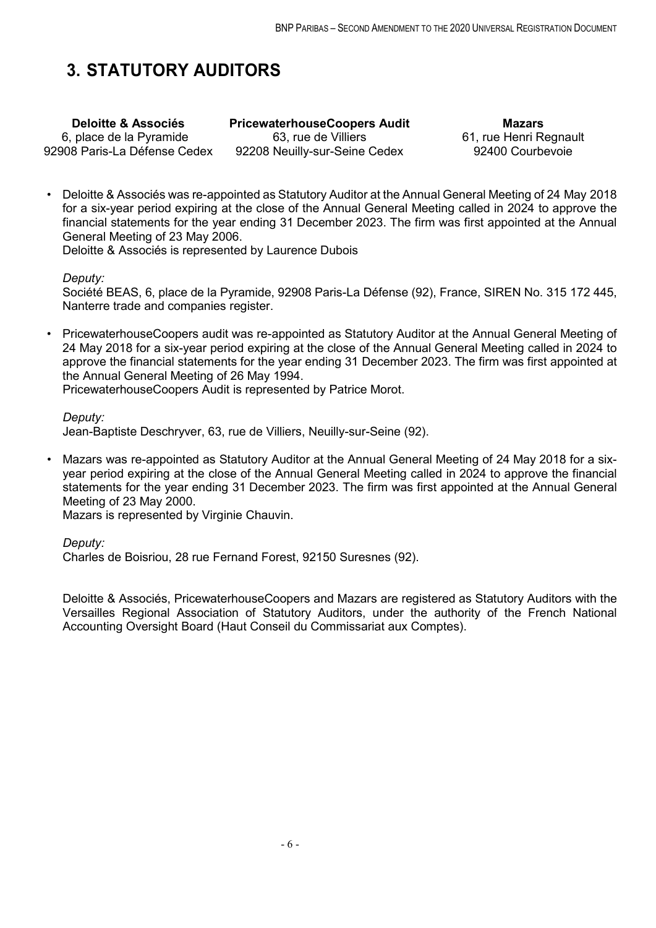# **3. STATUTORY AUDITORS**

**Deloitte & Associés** 6, place de la Pyramide 92908 Paris-La Défense Cedex **PricewaterhouseCoopers Audit** 63, rue de Villiers 92208 Neuilly-sur-Seine Cedex

**Mazars** 61, rue Henri Regnault 92400 Courbevoie

• Deloitte & Associés was re-appointed as Statutory Auditor at the Annual General Meeting of 24 May 2018 for a six-year period expiring at the close of the Annual General Meeting called in 2024 to approve the financial statements for the year ending 31 December 2023. The firm was first appointed at the Annual General Meeting of 23 May 2006.

Deloitte & Associés is represented by Laurence Dubois

*Deputy:*

Société BEAS, 6, place de la Pyramide, 92908 Paris-La Défense (92), France, SIREN No. 315 172 445, Nanterre trade and companies register.

• PricewaterhouseCoopers audit was re-appointed as Statutory Auditor at the Annual General Meeting of 24 May 2018 for a six-year period expiring at the close of the Annual General Meeting called in 2024 to approve the financial statements for the year ending 31 December 2023. The firm was first appointed at the Annual General Meeting of 26 May 1994.

PricewaterhouseCoopers Audit is represented by Patrice Morot.

*Deputy:*

Jean-Baptiste Deschryver, 63, rue de Villiers, Neuilly-sur-Seine (92).

• Mazars was re-appointed as Statutory Auditor at the Annual General Meeting of 24 May 2018 for a sixyear period expiring at the close of the Annual General Meeting called in 2024 to approve the financial statements for the year ending 31 December 2023. The firm was first appointed at the Annual General Meeting of 23 May 2000.

Mazars is represented by Virginie Chauvin.

*Deputy:*

Charles de Boisriou, 28 rue Fernand Forest, 92150 Suresnes (92).

Deloitte & Associés, PricewaterhouseCoopers and Mazars are registered as Statutory Auditors with the Versailles Regional Association of Statutory Auditors, under the authority of the French National Accounting Oversight Board (Haut Conseil du Commissariat aux Comptes).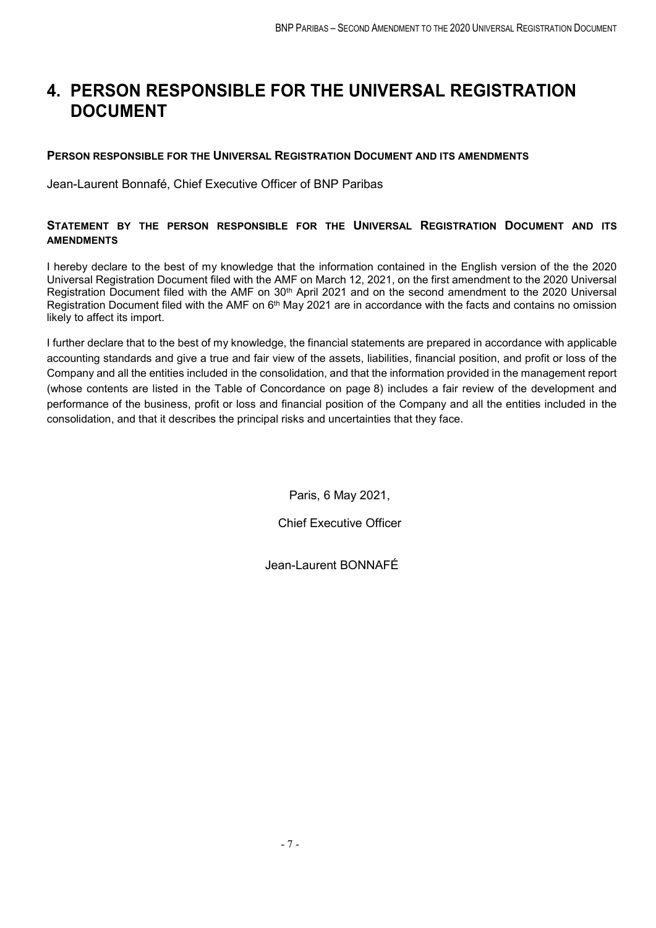# **4. PERSON RESPONSIBLE FOR THE UNIVERSAL REGISTRATION DOCUMENT**

## **PERSON RESPONSIBLE FOR THE UNIVERSAL REGISTRATION DOCUMENT AND ITS AMENDMENTS**

Jean-Laurent Bonnafé, Chief Executive Officer of BNP Paribas

## **STATEMENT BY THE PERSON RESPONSIBLE FOR THE UNIVERSAL REGISTRATION DOCUMENT AND ITS AMENDMENTS**

I hereby declare to the best of my knowledge that the information contained in the English version of the the 2020 Universal Registration Document filed with the AMF on March 12, 2021, on the first amendment to the 2020 Universal Registration Document filed with the AMF on 30<sup>th</sup> April 2021 and on the second amendment to the 2020 Universal Registration Document filed with the AMF on 6<sup>th</sup> May 2021 are in accordance with the facts and contains no omission likely to affect its import.

I further declare that to the best of my knowledge, the financial statements are prepared in accordance with applicable accounting standards and give a true and fair view of the assets, liabilities, financial position, and profit or loss of the Company and all the entities included in the consolidation, and that the information provided in the management report (whose contents are listed in the Table of Concordance on page 8) includes a fair review of the development and performance of the business, profit or loss and financial position of the Company and all the entities included in the consolidation, and that it describes the principal risks and uncertainties that they face.

Paris, 6 May 2021,

Chief Executive Officer

Jean-Laurent BONNAFÉ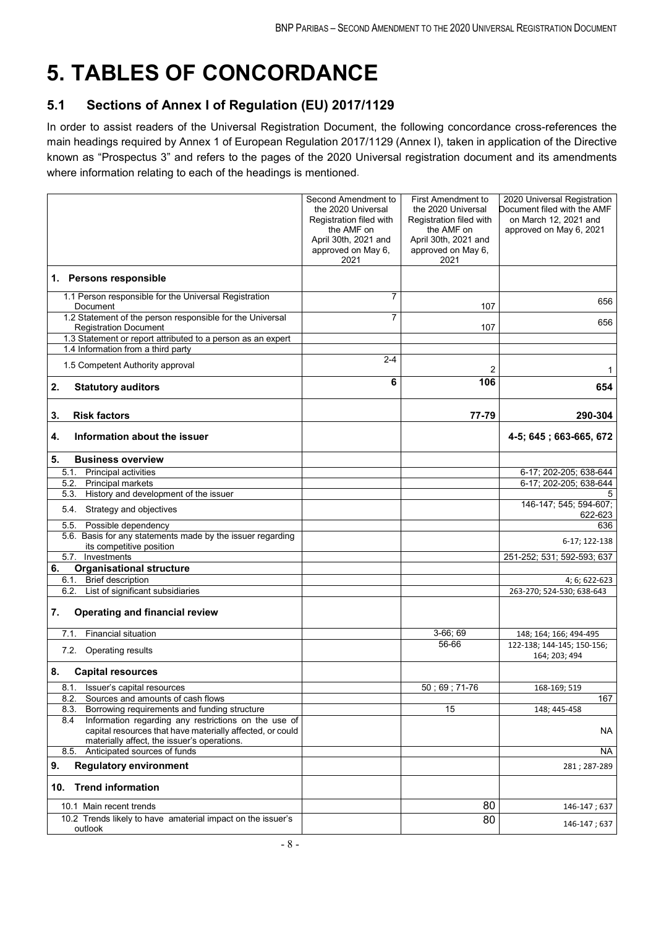# **5. TABLES OF CONCORDANCE**

## **5.1 Sections of Annex I of Regulation (EU) 2017/1129**

In order to assist readers of the Universal Registration Document, the following concordance cross-references the main headings required by Annex 1 of European Regulation 2017/1129 (Annex I), taken in application of the Directive known as "Prospectus 3" and refers to the pages of the 2020 Universal registration document and its amendments where information relating to each of the headings is mentioned.

| Second Amendment to<br>the 2020 Universal<br>Registration filed with<br>the AMF on<br>April 30th, 2021 and<br>approved on May 6,<br>2021 | <b>First Amendment to</b><br>the 2020 Universal<br>Registration filed with<br>the AMF on<br>April 30th, 2021 and<br>approved on May 6,<br>2021 | 2020 Universal Registration<br>Document filed with the AMF<br>on March 12, 2021 and<br>approved on May 6, 2021 |
|------------------------------------------------------------------------------------------------------------------------------------------|------------------------------------------------------------------------------------------------------------------------------------------------|----------------------------------------------------------------------------------------------------------------|
|                                                                                                                                          |                                                                                                                                                |                                                                                                                |
| $\overline{7}$                                                                                                                           | 107                                                                                                                                            | 656                                                                                                            |
| $\overline{7}$                                                                                                                           | 107                                                                                                                                            | 656                                                                                                            |
|                                                                                                                                          |                                                                                                                                                |                                                                                                                |
| $2 - 4$                                                                                                                                  | 2                                                                                                                                              | 1                                                                                                              |
| 6                                                                                                                                        | 106                                                                                                                                            | 654                                                                                                            |
|                                                                                                                                          | 77-79                                                                                                                                          | 290-304                                                                                                        |
|                                                                                                                                          |                                                                                                                                                | 4-5; 645; 663-665, 672                                                                                         |
|                                                                                                                                          |                                                                                                                                                |                                                                                                                |
|                                                                                                                                          |                                                                                                                                                | 6-17; 202-205; 638-644                                                                                         |
|                                                                                                                                          |                                                                                                                                                | 6-17; 202-205; 638-644                                                                                         |
|                                                                                                                                          |                                                                                                                                                |                                                                                                                |
|                                                                                                                                          |                                                                                                                                                | 146-147; 545; 594-607;<br>622-623                                                                              |
|                                                                                                                                          |                                                                                                                                                | 636                                                                                                            |
|                                                                                                                                          |                                                                                                                                                | 6-17; 122-138                                                                                                  |
|                                                                                                                                          |                                                                                                                                                | 251-252; 531; 592-593; 637                                                                                     |
|                                                                                                                                          |                                                                                                                                                |                                                                                                                |
|                                                                                                                                          |                                                                                                                                                | 4; 6; 622-623                                                                                                  |
|                                                                                                                                          |                                                                                                                                                | 263-270; 524-530; 638-643                                                                                      |
|                                                                                                                                          |                                                                                                                                                |                                                                                                                |
|                                                                                                                                          | 3-66; 69                                                                                                                                       | 148; 164; 166; 494-495                                                                                         |
|                                                                                                                                          | 56-66                                                                                                                                          | 122-138; 144-145; 150-156;<br>164; 203; 494                                                                    |
|                                                                                                                                          |                                                                                                                                                |                                                                                                                |
|                                                                                                                                          | $50;69;71-76$                                                                                                                                  | 168-169; 519                                                                                                   |
|                                                                                                                                          |                                                                                                                                                | 167                                                                                                            |
|                                                                                                                                          |                                                                                                                                                | 148; 445-458                                                                                                   |
|                                                                                                                                          |                                                                                                                                                | <b>NA</b>                                                                                                      |
|                                                                                                                                          |                                                                                                                                                | NA                                                                                                             |
|                                                                                                                                          |                                                                                                                                                | 281; 287-289                                                                                                   |
|                                                                                                                                          |                                                                                                                                                |                                                                                                                |
|                                                                                                                                          | 80                                                                                                                                             | 146-147; 637                                                                                                   |
|                                                                                                                                          | 80                                                                                                                                             | 146-147;637                                                                                                    |
|                                                                                                                                          |                                                                                                                                                | 15                                                                                                             |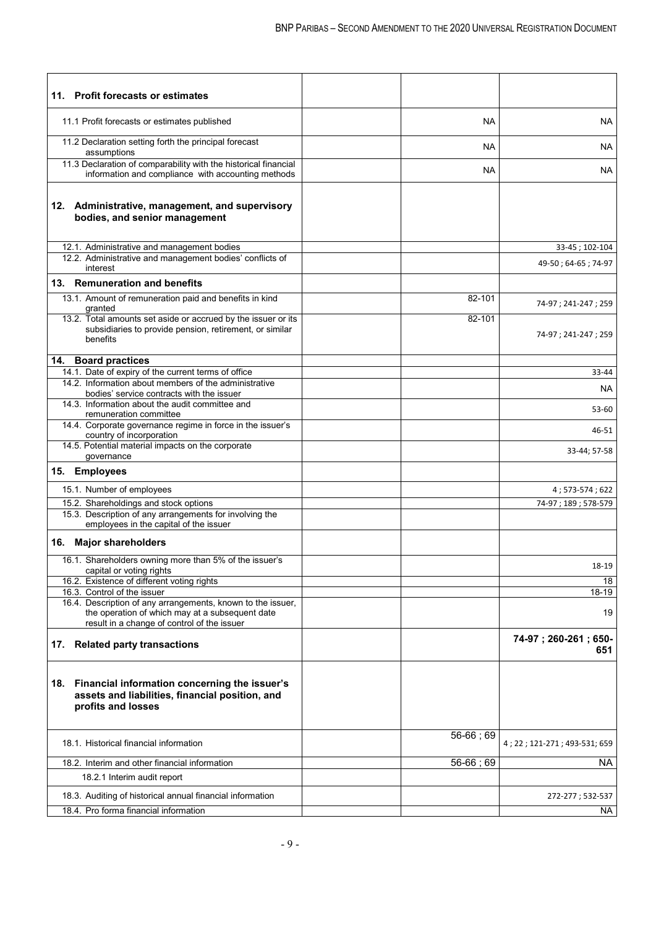| 11. Profit forecasts or estimates                                                                                                       |                |                              |
|-----------------------------------------------------------------------------------------------------------------------------------------|----------------|------------------------------|
| 11.1 Profit forecasts or estimates published                                                                                            | <b>NA</b>      | NA                           |
| 11.2 Declaration setting forth the principal forecast<br>assumptions                                                                    | NA             | NА                           |
| 11.3 Declaration of comparability with the historical financial<br>information and compliance with accounting methods                   | <b>NA</b>      | NA                           |
| 12. Administrative, management, and supervisory<br>bodies, and senior management                                                        |                |                              |
| 12.1. Administrative and management bodies                                                                                              |                | 33-45; 102-104               |
| 12.2. Administrative and management bodies' conflicts of<br>interest                                                                    |                | 49-50; 64-65; 74-97          |
| 13. Remuneration and benefits                                                                                                           |                |                              |
| 13.1. Amount of remuneration paid and benefits in kind<br>granted                                                                       | 82-101         | 74-97; 241-247; 259          |
| 13.2. Total amounts set aside or accrued by the issuer or its<br>subsidiaries to provide pension, retirement, or similar<br>benefits    | 82-101         | 74-97; 241-247; 259          |
| 14. Board practices                                                                                                                     |                |                              |
| 14.1. Date of expiry of the current terms of office                                                                                     |                | 33-44                        |
| 14.2. Information about members of the administrative<br>bodies' service contracts with the issuer                                      |                | NА                           |
| 14.3. Information about the audit committee and<br>remuneration committee<br>14.4. Corporate governance regime in force in the issuer's |                | 53-60                        |
| country of incorporation<br>14.5. Potential material impacts on the corporate                                                           |                | 46-51                        |
| governance                                                                                                                              |                | 33-44; 57-58                 |
| 15. Employees                                                                                                                           |                |                              |
| 15.1. Number of employees                                                                                                               |                | 4;573-574;622                |
| 15.2. Shareholdings and stock options<br>15.3. Description of any arrangements for involving the                                        |                | 74-97; 189; 578-579          |
| employees in the capital of the issuer                                                                                                  |                |                              |
| 16. Major shareholders                                                                                                                  |                |                              |
| 16.1. Shareholders owning more than 5% of the issuer's<br>capital or voting rights                                                      |                | 18-19                        |
| 16.2. Existence of different voting rights                                                                                              |                | 18                           |
| 16.3. Control of the issuer<br>16.4. Description of any arrangements, known to the issuer,                                              |                | 18-19                        |
| the operation of which may at a subsequent date<br>result in a change of control of the issuer                                          |                | 19                           |
| 17. Related party transactions                                                                                                          |                | 74-97; 260-261; 650-<br>651  |
| Financial information concerning the issuer's<br>18.<br>assets and liabilities, financial position, and<br>profits and losses           |                |                              |
| 18.1. Historical financial information                                                                                                  | 56-66; 69      | 4; 22; 121-271; 493-531; 659 |
| 18.2. Interim and other financial information                                                                                           | $56 - 66$ ; 69 | NA.                          |
| 18.2.1 Interim audit report                                                                                                             |                |                              |
| 18.3. Auditing of historical annual financial information                                                                               |                | 272-277; 532-537             |
| 18.4. Pro forma financial information                                                                                                   |                | NA                           |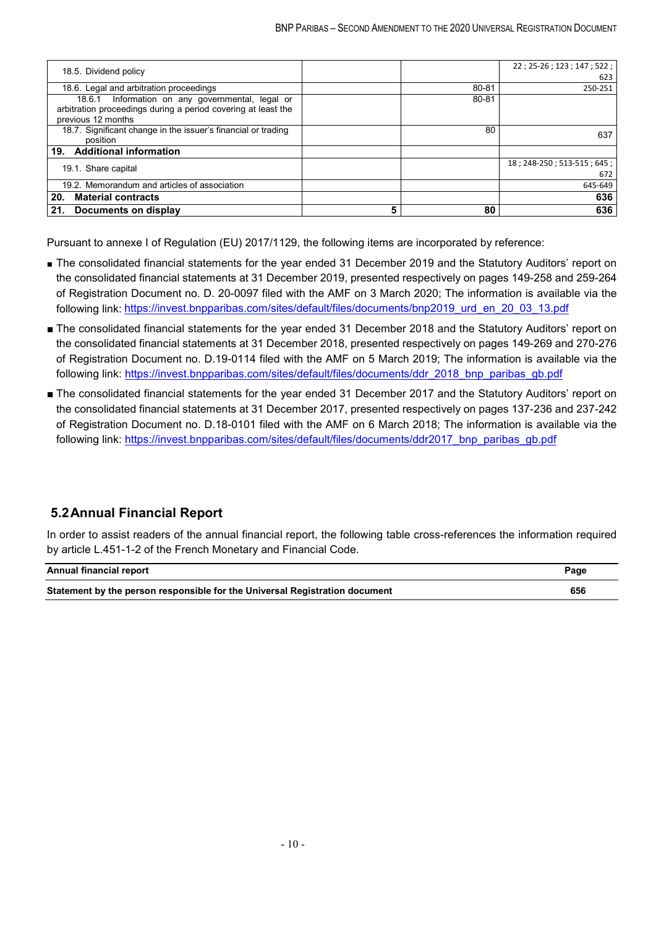| 18.5. Dividend policy                                         |       | $22; 25-26; 123; 147; 522;$ |
|---------------------------------------------------------------|-------|-----------------------------|
|                                                               |       | 623                         |
| 18.6. Legal and arbitration proceedings                       | 80-81 | 250-251                     |
| Information on any governmental, legal or<br>18.6.1           | 80-81 |                             |
| arbitration proceedings during a period covering at least the |       |                             |
| previous 12 months                                            |       |                             |
| 18.7. Significant change in the issuer's financial or trading | 80    | 637                         |
| position                                                      |       |                             |
| 19. Additional information                                    |       |                             |
| 19.1. Share capital                                           |       | 18; 248-250; 513-515; 645;  |
|                                                               |       | 672                         |
| 19.2. Memorandum and articles of association                  |       | 645-649                     |
| <b>Material contracts</b><br>20.                              |       | 636                         |
| 21.<br>Documents on display                                   | 80    | 636                         |

Pursuant to annexe I of Regulation (EU) 2017/1129, the following items are incorporated by reference:

- The consolidated financial statements for the year ended 31 December 2019 and the Statutory Auditors' report on the consolidated financial statements at 31 December 2019, presented respectively on pages 149-258 and 259-264 of Registration Document no. D. 20-0097 filed with the AMF on 3 March 2020; The information is available via the following link: [https://invest.bnpparibas.com/sites/default/files/documents/bnp2019\\_urd\\_en\\_20\\_03\\_13.pdf](https://invest.bnpparibas.com/sites/default/files/documents/bnp2019_urd_en_20_03_13.pdf)
- The consolidated financial statements for the year ended 31 December 2018 and the Statutory Auditors' report on the consolidated financial statements at 31 December 2018, presented respectively on pages 149-269 and 270-276 of Registration Document no. D.19-0114 filed with the AMF on 5 March 2019; The information is available via the following link: [https://invest.bnpparibas.com/sites/default/files/documents/ddr\\_2018\\_bnp\\_paribas\\_gb.pdf](https://invest.bnpparibas.com/sites/default/files/documents/ddr_2018_bnp_paribas_gb.pdf)
- The consolidated financial statements for the year ended 31 December 2017 and the Statutory Auditors' report on the consolidated financial statements at 31 December 2017, presented respectively on pages 137-236 and 237-242 of Registration Document no. D.18-0101 filed with the AMF on 6 March 2018; The information is available via the following link: https://invest.bnpparibas.com/sites/default/files/documents/ddr2017\_bnp\_paribas\_gb.pdf

## **5.2Annual Financial Report**

In order to assist readers of the annual financial report, the following table cross-references the information required by article L.451-1-2 of the French Monetary and Financial Code.

| Annual financial report                                                     | Page |
|-----------------------------------------------------------------------------|------|
| Statement by the person responsible for the Universal Registration document | 656  |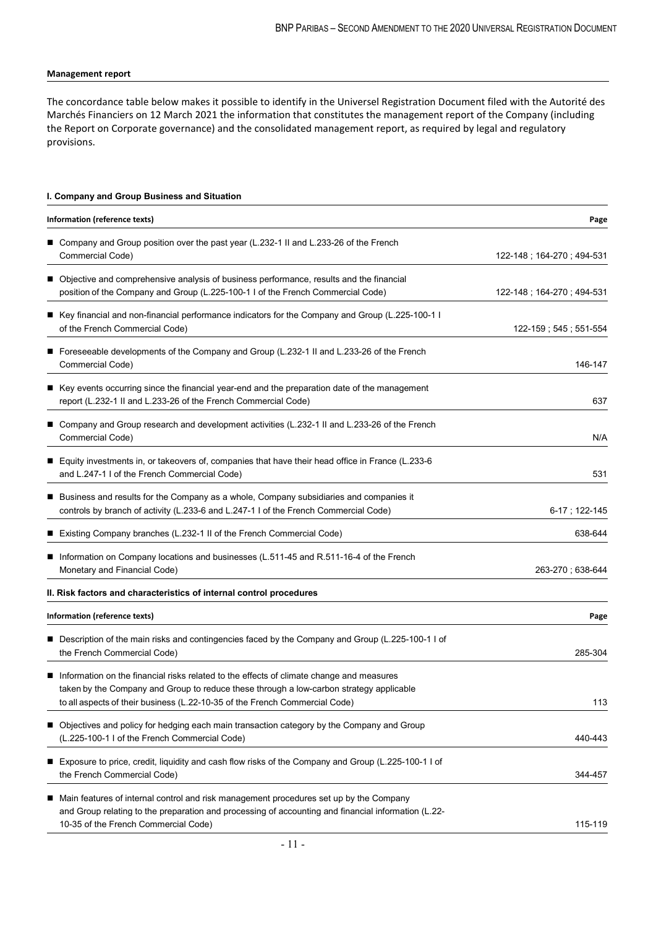#### **Management report**

The concordance table below makes it possible to identify in the Universel Registration Document filed with the Autorité des Marchés Financiers on 12 March 2021 the information that constitutes the management report of the Company (including the Report on Corporate governance) and the consolidated management report, as required by legal and regulatory provisions.

#### **I. Company and Group Business and Situation**

| Information (reference texts)                                                                                                                                                                                                                                      | Page                      |
|--------------------------------------------------------------------------------------------------------------------------------------------------------------------------------------------------------------------------------------------------------------------|---------------------------|
| Company and Group position over the past year (L.232-1 II and L.233-26 of the French                                                                                                                                                                               |                           |
| Commercial Code)                                                                                                                                                                                                                                                   | 122-148; 164-270; 494-531 |
| Objective and comprehensive analysis of business performance, results and the financial                                                                                                                                                                            |                           |
| position of the Company and Group (L.225-100-1 I of the French Commercial Code)                                                                                                                                                                                    | 122-148; 164-270; 494-531 |
| ■ Key financial and non-financial performance indicators for the Company and Group (L.225-100-1 l<br>of the French Commercial Code)                                                                                                                                | 122-159; 545; 551-554     |
| Foreseeable developments of the Company and Group (L.232-1 II and L.233-26 of the French<br>Commercial Code)                                                                                                                                                       | 146-147                   |
| Key events occurring since the financial year-end and the preparation date of the management<br>report (L.232-1 II and L.233-26 of the French Commercial Code)                                                                                                     | 637                       |
| Company and Group research and development activities (L.232-1 II and L.233-26 of the French<br>Commercial Code)                                                                                                                                                   | N/A                       |
| ■ Equity investments in, or takeovers of, companies that have their head office in France (L.233-6<br>and L.247-1 I of the French Commercial Code)                                                                                                                 | 531                       |
| Business and results for the Company as a whole, Company subsidiaries and companies it<br>■<br>controls by branch of activity (L.233-6 and L.247-1 I of the French Commercial Code)                                                                                | 6-17; 122-145             |
| Existing Company branches (L.232-1 II of the French Commercial Code)                                                                                                                                                                                               | 638-644                   |
| Information on Company locations and businesses (L.511-45 and R.511-16-4 of the French<br>Monetary and Financial Code)                                                                                                                                             | 263-270; 638-644          |
| II. Risk factors and characteristics of internal control procedures                                                                                                                                                                                                |                           |
| Information (reference texts)                                                                                                                                                                                                                                      | Page                      |
| Description of the main risks and contingencies faced by the Company and Group (L.225-100-1 I of<br>the French Commercial Code)                                                                                                                                    | 285-304                   |
| Information on the financial risks related to the effects of climate change and measures<br>taken by the Company and Group to reduce these through a low-carbon strategy applicable<br>to all aspects of their business (L.22-10-35 of the French Commercial Code) | 113                       |
| Objectives and policy for hedging each main transaction category by the Company and Group<br>(L.225-100-1 I of the French Commercial Code)                                                                                                                         | 440-443                   |
| Exposure to price, credit, liquidity and cash flow risks of the Company and Group (L.225-100-1 I of<br>■<br>the French Commercial Code)                                                                                                                            | 344-457                   |
| Main features of internal control and risk management procedures set up by the Company<br>and Group relating to the preparation and processing of accounting and financial information (L.22-<br>10-35 of the French Commercial Code)                              | 115-119                   |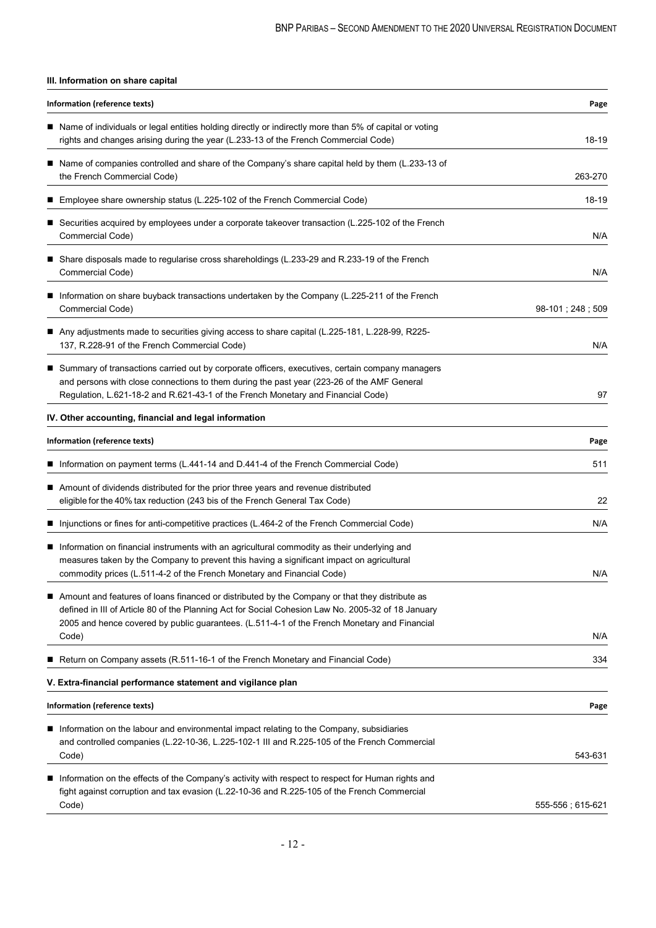### **III. Information on share capital**

| Information (reference texts)                                                                                                                                                                                                                                                                                 | Page             |
|---------------------------------------------------------------------------------------------------------------------------------------------------------------------------------------------------------------------------------------------------------------------------------------------------------------|------------------|
| Name of individuals or legal entities holding directly or indirectly more than 5% of capital or voting<br>rights and changes arising during the year (L.233-13 of the French Commercial Code)                                                                                                                 | 18-19            |
| Name of companies controlled and share of the Company's share capital held by them (L.233-13 of<br>the French Commercial Code)                                                                                                                                                                                | 263-270          |
| Employee share ownership status (L.225-102 of the French Commercial Code)                                                                                                                                                                                                                                     | 18-19            |
| ■ Securities acquired by employees under a corporate takeover transaction (L.225-102 of the French<br>Commercial Code)                                                                                                                                                                                        | N/A              |
| Share disposals made to regularise cross shareholdings (L.233-29 and R.233-19 of the French<br>Commercial Code)                                                                                                                                                                                               | N/A              |
| Information on share buyback transactions undertaken by the Company (L.225-211 of the French<br>Commercial Code)                                                                                                                                                                                              | 98-101; 248; 509 |
| Any adjustments made to securities giving access to share capital (L.225-181, L.228-99, R225-<br>137, R.228-91 of the French Commercial Code)                                                                                                                                                                 | N/A              |
| ■ Summary of transactions carried out by corporate officers, executives, certain company managers<br>and persons with close connections to them during the past year (223-26 of the AMF General<br>Regulation, L.621-18-2 and R.621-43-1 of the French Monetary and Financial Code)                           | 97               |
| IV. Other accounting, financial and legal information                                                                                                                                                                                                                                                         |                  |
| Information (reference texts)                                                                                                                                                                                                                                                                                 | Page             |
| Information on payment terms (L.441-14 and D.441-4 of the French Commercial Code)                                                                                                                                                                                                                             | 511              |
| Amount of dividends distributed for the prior three years and revenue distributed<br>eligible for the 40% tax reduction (243 bis of the French General Tax Code)                                                                                                                                              | 22               |
| Injunctions or fines for anti-competitive practices (L.464-2 of the French Commercial Code)                                                                                                                                                                                                                   | N/A              |
| Information on financial instruments with an agricultural commodity as their underlying and<br>■<br>measures taken by the Company to prevent this having a significant impact on agricultural<br>commodity prices (L.511-4-2 of the French Monetary and Financial Code)                                       | N/A              |
| Amount and features of loans financed or distributed by the Company or that they distribute as<br>defined in III of Article 80 of the Planning Act for Social Cohesion Law No. 2005-32 of 18 January<br>2005 and hence covered by public guarantees. (L.511-4-1 of the French Monetary and Financial<br>Code) | N/A              |
| Return on Company assets (R.511-16-1 of the French Monetary and Financial Code)                                                                                                                                                                                                                               | 334              |
| V. Extra-financial performance statement and vigilance plan                                                                                                                                                                                                                                                   |                  |
| <b>Information (reference texts)</b>                                                                                                                                                                                                                                                                          | Page             |
| Information on the labour and environmental impact relating to the Company, subsidiaries<br>■<br>and controlled companies (L.22-10-36, L.225-102-1 III and R.225-105 of the French Commercial<br>Code)                                                                                                        | 543-631          |
| Information on the effects of the Company's activity with respect to respect for Human rights and<br>fight against corruption and tax evasion (L.22-10-36 and R.225-105 of the French Commercial<br>Code)                                                                                                     | 555-556; 615-621 |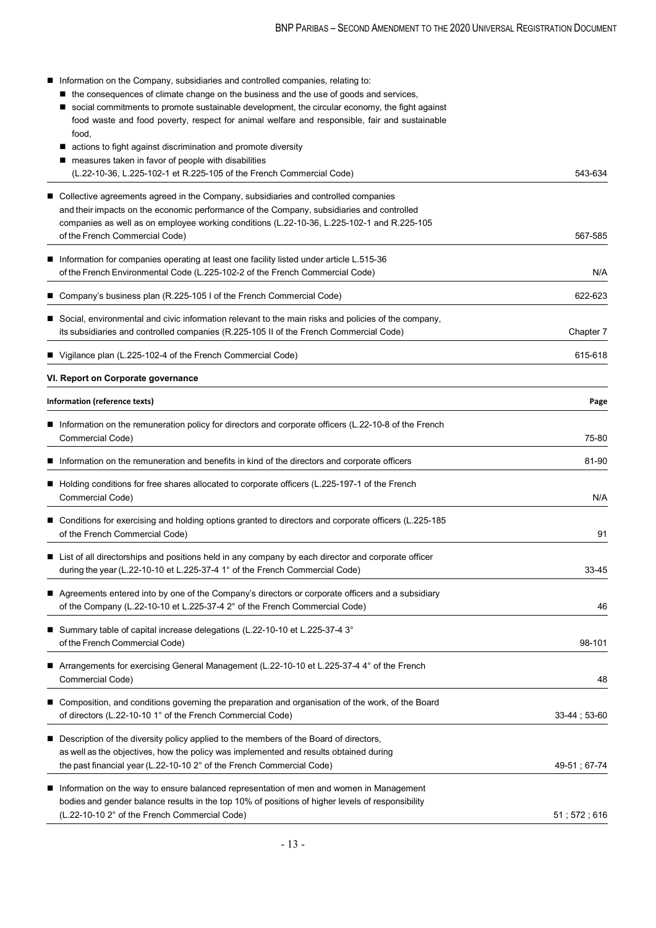| Information on the Company, subsidiaries and controlled companies, relating to:<br>■ the consequences of climate change on the business and the use of goods and services,<br>social commitments to promote sustainable development, the circular economy, the fight against<br>food waste and food poverty, respect for animal welfare and responsible, fair and sustainable<br>food, |                      |
|----------------------------------------------------------------------------------------------------------------------------------------------------------------------------------------------------------------------------------------------------------------------------------------------------------------------------------------------------------------------------------------|----------------------|
| ■ actions to fight against discrimination and promote diversity                                                                                                                                                                                                                                                                                                                        |                      |
| measures taken in favor of people with disabilities                                                                                                                                                                                                                                                                                                                                    |                      |
| (L.22-10-36, L.225-102-1 et R.225-105 of the French Commercial Code)                                                                                                                                                                                                                                                                                                                   | 543-634              |
| ■ Collective agreements agreed in the Company, subsidiaries and controlled companies                                                                                                                                                                                                                                                                                                   |                      |
| and their impacts on the economic performance of the Company, subsidiaries and controlled                                                                                                                                                                                                                                                                                              |                      |
| companies as well as on employee working conditions (L.22-10-36, L.225-102-1 and R.225-105                                                                                                                                                                                                                                                                                             |                      |
| of the French Commercial Code)                                                                                                                                                                                                                                                                                                                                                         | 567-585              |
| ■ Information for companies operating at least one facility listed under article L.515-36                                                                                                                                                                                                                                                                                              |                      |
| of the French Environmental Code (L.225-102-2 of the French Commercial Code)                                                                                                                                                                                                                                                                                                           | N/A                  |
| ■ Company's business plan (R.225-105 I of the French Commercial Code)                                                                                                                                                                                                                                                                                                                  | 622-623              |
|                                                                                                                                                                                                                                                                                                                                                                                        |                      |
| ■ Social, environmental and civic information relevant to the main risks and policies of the company,<br>its subsidiaries and controlled companies (R.225-105 II of the French Commercial Code)                                                                                                                                                                                        | Chapter 7            |
|                                                                                                                                                                                                                                                                                                                                                                                        |                      |
| ■ Vigilance plan (L.225-102-4 of the French Commercial Code)                                                                                                                                                                                                                                                                                                                           | 615-618              |
| VI. Report on Corporate governance                                                                                                                                                                                                                                                                                                                                                     |                      |
| Information (reference texts)                                                                                                                                                                                                                                                                                                                                                          | Page                 |
| Information on the remuneration policy for directors and corporate officers (L.22-10-8 of the French                                                                                                                                                                                                                                                                                   |                      |
| Commercial Code)                                                                                                                                                                                                                                                                                                                                                                       | 75-80                |
| <b>If Information on the remuneration and benefits in kind of the directors and corporate officers</b>                                                                                                                                                                                                                                                                                 | 81-90                |
|                                                                                                                                                                                                                                                                                                                                                                                        |                      |
| ■ Holding conditions for free shares allocated to corporate officers (L.225-197-1 of the French<br>Commercial Code)                                                                                                                                                                                                                                                                    | N/A                  |
| ■ Conditions for exercising and holding options granted to directors and corporate officers (L.225-185                                                                                                                                                                                                                                                                                 |                      |
| of the French Commercial Code)                                                                                                                                                                                                                                                                                                                                                         | 91                   |
|                                                                                                                                                                                                                                                                                                                                                                                        |                      |
| ■ List of all directorships and positions held in any company by each director and corporate officer<br>during the year (L.22-10-10 et L.225-37-4 1° of the French Commercial Code)                                                                                                                                                                                                    | 33-45                |
|                                                                                                                                                                                                                                                                                                                                                                                        |                      |
| Agreements entered into by one of the Company's directors or corporate officers and a subsidiary                                                                                                                                                                                                                                                                                       |                      |
| of the Company (L.22-10-10 et L.225-37-4 2° of the French Commercial Code)                                                                                                                                                                                                                                                                                                             | 46                   |
| ■ Summary table of capital increase delegations (L.22-10-10 et L.225-37-4 3°                                                                                                                                                                                                                                                                                                           |                      |
| of the French Commercial Code)                                                                                                                                                                                                                                                                                                                                                         | 98-101               |
| ■ Arrangements for exercising General Management (L.22-10-10 et L.225-37-4 4° of the French                                                                                                                                                                                                                                                                                            |                      |
| Commercial Code)                                                                                                                                                                                                                                                                                                                                                                       | 48                   |
| ■ Composition, and conditions governing the preparation and organisation of the work, of the Board                                                                                                                                                                                                                                                                                     |                      |
| of directors (L.22-10-10 1° of the French Commercial Code)                                                                                                                                                                                                                                                                                                                             | $33-44$ ; 53-60      |
|                                                                                                                                                                                                                                                                                                                                                                                        |                      |
| ■ Description of the diversity policy applied to the members of the Board of directors,                                                                                                                                                                                                                                                                                                |                      |
| as well as the objectives, how the policy was implemented and results obtained during<br>the past financial year (L.22-10-10 2° of the French Commercial Code)                                                                                                                                                                                                                         | 49-51; 67-74         |
|                                                                                                                                                                                                                                                                                                                                                                                        |                      |
| ■ Information on the way to ensure balanced representation of men and women in Management                                                                                                                                                                                                                                                                                              |                      |
| bodies and gender balance results in the top 10% of positions of higher levels of responsibility                                                                                                                                                                                                                                                                                       |                      |
| (L.22-10-10 2° of the French Commercial Code)                                                                                                                                                                                                                                                                                                                                          | $51$ ; $572$ ; $616$ |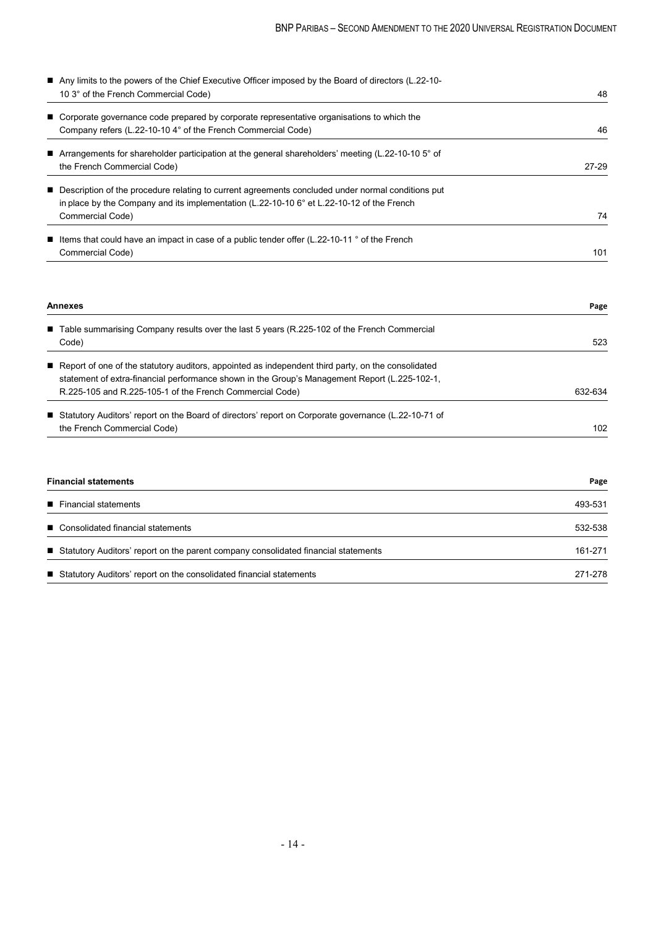| ■ Any limits to the powers of the Chief Executive Officer imposed by the Board of directors (L.22-10-         |         |
|---------------------------------------------------------------------------------------------------------------|---------|
| 10 3° of the French Commercial Code)                                                                          | 48      |
| ■ Corporate governance code prepared by corporate representative organisations to which the                   |         |
| Company refers (L.22-10-10 4° of the French Commercial Code)                                                  | 46      |
| Arrangements for shareholder participation at the general shareholders' meeting (L.22-10-10 5° of             |         |
| the French Commercial Code)                                                                                   | $27-29$ |
| ■ Description of the procedure relating to current agreements concluded under normal conditions put           |         |
| in place by the Company and its implementation (L.22-10-10 6° et L.22-10-12 of the French                     |         |
| Commercial Code)                                                                                              | 74      |
| <b>E</b> Items that could have an impact in case of a public tender offer (L.22-10-11 $\degree$ of the French |         |
| Commercial Code)                                                                                              | 101     |

| <b>Annexes</b>                                                                                        | Page             |
|-------------------------------------------------------------------------------------------------------|------------------|
| ■ Table summarising Company results over the last 5 years (R.225-102 of the French Commercial         |                  |
| Code)                                                                                                 | 523              |
| Report of one of the statutory auditors, appointed as independent third party, on the consolidated    |                  |
| statement of extra-financial performance shown in the Group's Management Report (L.225-102-1,         |                  |
| R.225-105 and R.225-105-1 of the French Commercial Code)                                              | 632-634          |
| ■ Statutory Auditors' report on the Board of directors' report on Corporate governance (L.22-10-71 of |                  |
| the French Commercial Code)                                                                           | 102 <sub>2</sub> |

| <b>Financial statements</b>                                                          | Page    |
|--------------------------------------------------------------------------------------|---------|
| ■ Financial statements                                                               | 493-531 |
| ■ Consolidated financial statements                                                  | 532-538 |
| ■ Statutory Auditors' report on the parent company consolidated financial statements | 161-271 |
| ■ Statutory Auditors' report on the consolidated financial statements                | 271-278 |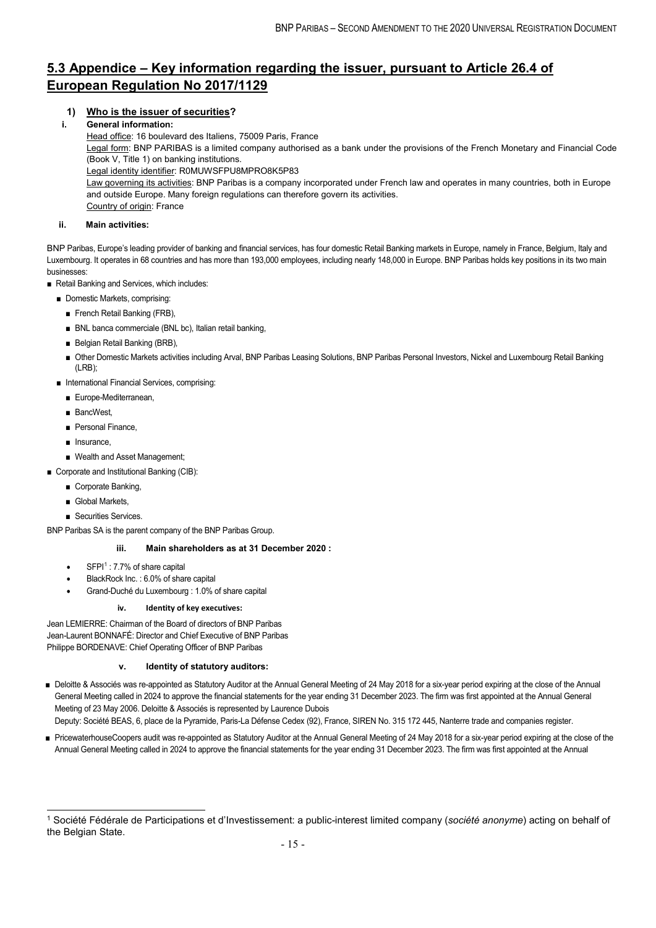## **5.3 Appendice – Key information regarding the issuer, pursuant to Article 26.4 of European Regulation No 2017/1129**

### **1) Who is the issuer of securities?**

#### **i. General information:**

Head office: 16 boulevard des Italiens, 75009 Paris, France

Legal form: BNP PARIBAS is a limited company authorised as a bank under the provisions of the French Monetary and Financial Code (Book V, Title 1) on banking institutions.

Legal identity identifier: R0MUWSFPU8MPRO8K5P83

Law governing its activities: BNP Paribas is a company incorporated under French law and operates in many countries, both in Europe and outside Europe. Many foreign regulations can therefore govern its activities. Country of origin: France

#### **ii. Main activities:**

BNP Paribas, Europe's leading provider of banking and financial services, has four domestic Retail Banking markets in Europe, namely in France, Belgium, Italy and Luxembourg. It operates in 68 countries and has more than 193,000 employees, including nearly 148,000 in Europe. BNP Paribas holds key positions in its two main businesses:

■ Retail Banking and Services, which includes:

- Domestic Markets, comprising:
	- French Retail Banking (FRB),
	- BNL banca commerciale (BNL bc), Italian retail banking,
	- Belgian Retail Banking (BRB),
	- Other Domestic Markets activities including Arval, BNP Paribas Leasing Solutions, BNP Paribas Personal Investors, Nickel and Luxembourg Retail Banking (LRB);
- International Financial Services, comprising:
	- Europe-Mediterranean,
	- BancWest
	- Personal Finance,
	- Insurance
	- Wealth and Asset Management;
- Corporate and Institutional Banking (CIB):
	- Corporate Banking,
	- Global Markets
	- Securities Services.

BNP Paribas SA is the parent company of the BNP Paribas Group.

#### **iii. Main shareholders as at 31 December 2020 :**

- $SFP1^1$  $SFP1^1$  $SFP1^1$ : 7.7% of share capital
- BlackRock Inc. : 6.0% of share capital
- Grand-Duché du Luxembourg : 1.0% of share capital

#### **iv. Identity of key executives:**

Jean LEMIERRE: Chairman of the Board of directors of BNP Paribas Jean-Laurent BONNAFÉ: Director and Chief Executive of BNP Paribas Philippe BORDENAVE: Chief Operating Officer of BNP Paribas

#### **v. Identity of statutory auditors:**

- Deloitte & Associés was re-appointed as Statutory Auditor at the Annual General Meeting of 24 May 2018 for a six-year period expiring at the close of the Annual General Meeting called in 2024 to approve the financial statements for the year ending 31 December 2023. The firm was first appointed at the Annual General Meeting of 23 May 2006. Deloitte & Associés is represented by Laurence Dubois Deputy: Société BEAS, 6, place de la Pyramide, Paris-La Défense Cedex (92), France, SIREN No. 315 172 445, Nanterre trade and companies register.
- PricewaterhouseCoopers audit was re-appointed as Statutory Auditor at the Annual General Meeting of 24 May 2018 for a six-year period expiring at the close of the Annual General Meeting called in 2024 to approve the financial statements for the year ending 31 December 2023. The firm was first appointed at the Annual

<span id="page-14-0"></span> <sup>1</sup> Société Fédérale de Participations et d'Investissement: a public-interest limited company (*société anonyme*) acting on behalf of the Belgian State.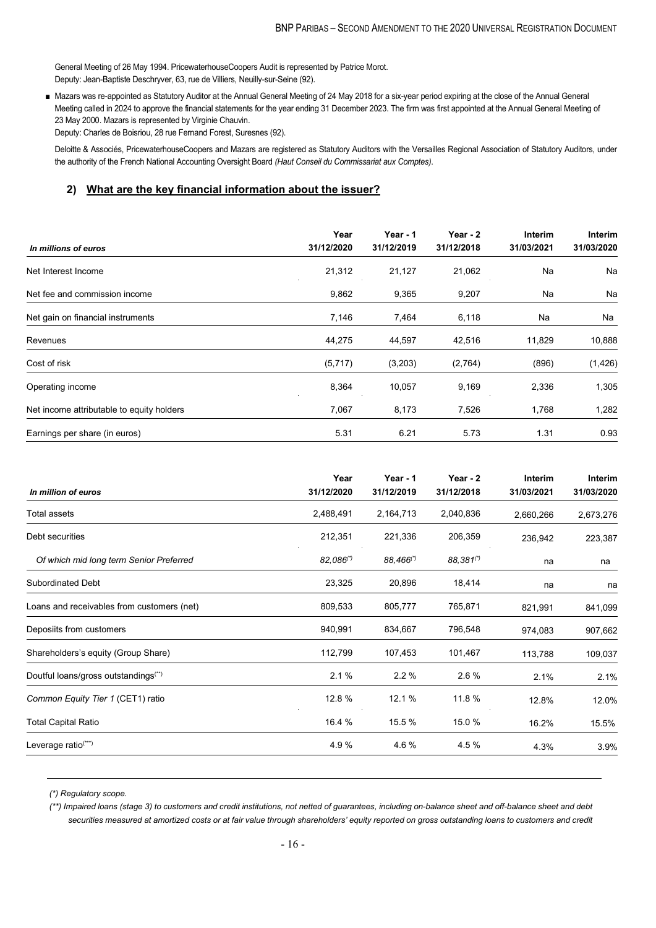General Meeting of 26 May 1994. PricewaterhouseCoopers Audit is represented by Patrice Morot. Deputy: Jean-Baptiste Deschryver, 63, rue de Villiers, Neuilly-sur-Seine (92).

■ Mazars was re-appointed as Statutory Auditor at the Annual General Meeting of 24 May 2018 for a six-year period expiring at the close of the Annual General Meeting called in 2024 to approve the financial statements for the year ending 31 December 2023. The firm was first appointed at the Annual General Meeting of 23 May 2000. Mazars is represented by Virginie Chauvin. Deputy: Charles de Boisriou, 28 rue Fernand Forest, Suresnes (92).

Deloitte & Associés, PricewaterhouseCoopers and Mazars are registered as Statutory Auditors with the Versailles Regional Association of Statutory Auditors, under the authority of the French National Accounting Oversight Board *(Haut Conseil du Commissariat aux Comptes)*.

### **2) What are the key financial information about the issuer?**

| In millions of euros                      | Year<br>31/12/2020 | Year - 1<br>31/12/2019 | Year - 2<br>31/12/2018 | <b>Interim</b><br>31/03/2021 | Interim<br>31/03/2020 |
|-------------------------------------------|--------------------|------------------------|------------------------|------------------------------|-----------------------|
| Net Interest Income                       | 21,312             | 21,127                 | 21,062                 | Na                           | Na                    |
| Net fee and commission income             | 9,862              | 9,365                  | 9,207                  | Na                           | Na                    |
| Net gain on financial instruments         | 7,146              | 7,464                  | 6,118                  | Na                           | Na                    |
| Revenues                                  | 44,275             | 44,597                 | 42,516                 | 11,829                       | 10,888                |
| Cost of risk                              | (5,717)            | (3,203)                | (2,764)                | (896)                        | (1, 426)              |
| Operating income                          | 8,364              | 10,057                 | 9,169                  | 2,336                        | 1,305                 |
| Net income attributable to equity holders | 7,067              | 8,173                  | 7,526                  | 1,768                        | 1,282                 |
| Earnings per share (in euros)             | 5.31               | 6.21                   | 5.73                   | 1.31                         | 0.93                  |

| In million of euros                              | Year<br>31/12/2020 | Year - 1<br>31/12/2019 | Year - 2<br>31/12/2018 | Interim<br>31/03/2021 | <b>Interim</b><br>31/03/2020 |
|--------------------------------------------------|--------------------|------------------------|------------------------|-----------------------|------------------------------|
| <b>Total assets</b>                              | 2,488,491          | 2,164,713              | 2,040,836              | 2,660,266             | 2,673,276                    |
| Debt securities                                  | 212,351            | 221,336                | 206,359                | 236,942               | 223,387                      |
| Of which mid long term Senior Preferred          | 82,086(*)          | $88,466^{(*)}$         | 88,381(*)              | na                    | na                           |
| <b>Subordinated Debt</b>                         | 23,325             | 20,896                 | 18,414                 | na                    | na                           |
| Loans and receivables from customers (net)       | 809,533            | 805,777                | 765,871                | 821,991               | 841,099                      |
| Deposiits from customers                         | 940,991            | 834,667                | 796,548                | 974,083               | 907,662                      |
| Shareholders's equity (Group Share)              | 112,799            | 107,453                | 101,467                | 113,788               | 109,037                      |
| Doutful loans/gross outstandings <sup>(**)</sup> | 2.1%               | 2.2%                   | 2.6%                   | 2.1%                  | 2.1%                         |
| Common Equity Tier 1 (CET1) ratio                | 12.8 %             | 12.1 %                 | 11.8 %                 | 12.8%                 | 12.0%                        |
| <b>Total Capital Ratio</b>                       | 16.4 %             | 15.5 %                 | 15.0 %                 | 16.2%                 | 15.5%                        |
| Leverage ratio <sup>(***)</sup>                  | 4.9%               | 4.6 %                  | 4.5 %                  | 4.3%                  | 3.9%                         |

*(\*) Regulatory scope.*

*(\*\*) Impaired loans (stage 3) to customers and credit institutions, not netted of guarantees, including on-balance sheet and off-balance sheet and debt securities measured at amortized costs or at fair value through shareholders' equity reported on gross outstanding loans to customers and credit*